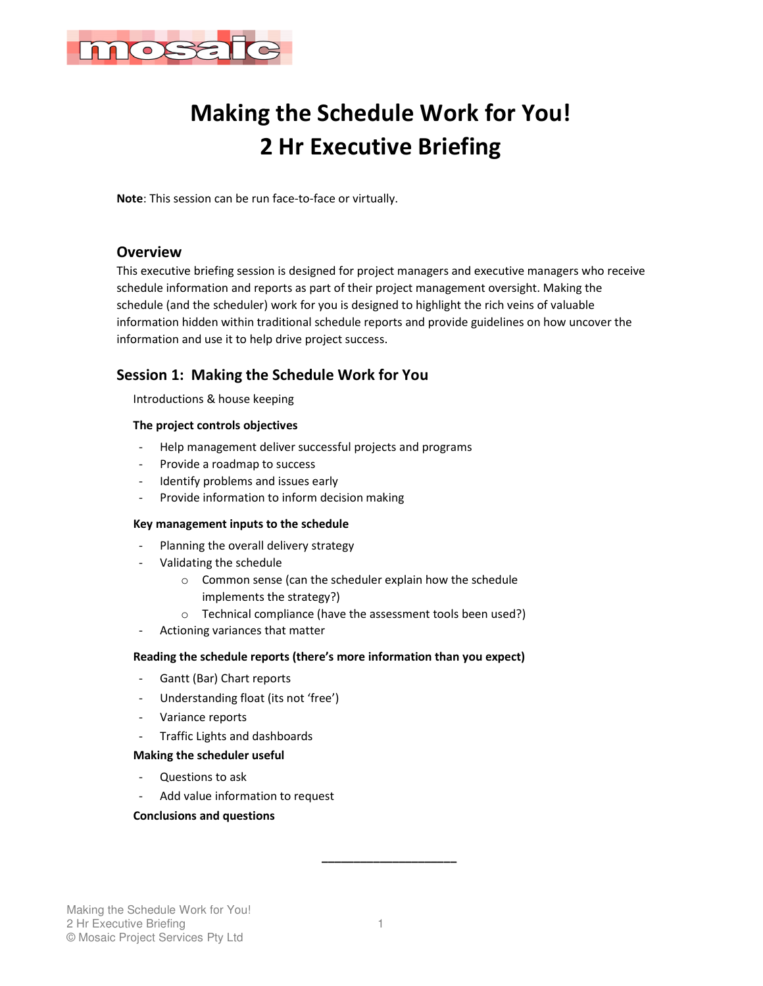

# **Making the Schedule Work for You! 2 Hr Executive Briefing**

**Note**: This session can be run face-to-face or virtually.

# **Overview**

This executive briefing session is designed for project managers and executive managers who receive schedule information and reports as part of their project management oversight. Making the schedule (and the scheduler) work for you is designed to highlight the rich veins of valuable information hidden within traditional schedule reports and provide guidelines on how uncover the information and use it to help drive project success.

# **Session 1: Making the Schedule Work for You**

Introductions & house keeping

## **The project controls objectives**

- Help management deliver successful projects and programs
- Provide a roadmap to success
- Identify problems and issues early
- Provide information to inform decision making

#### **Key management inputs to the schedule**

- Planning the overall delivery strategy
- Validating the schedule
	- o Common sense (can the scheduler explain how the schedule implements the strategy?)
	- o Technical compliance (have the assessment tools been used?)
- Actioning variances that matter

## **Reading the schedule reports (there's more information than you expect)**

- Gantt (Bar) Chart reports
- Understanding float (its not 'free')
- Variance reports
- Traffic Lights and dashboards

### **Making the scheduler useful**

- Questions to ask
- Add value information to request

#### **Conclusions and questions**

**\_\_\_\_\_\_\_\_\_\_\_\_\_\_\_\_\_\_\_\_\_**